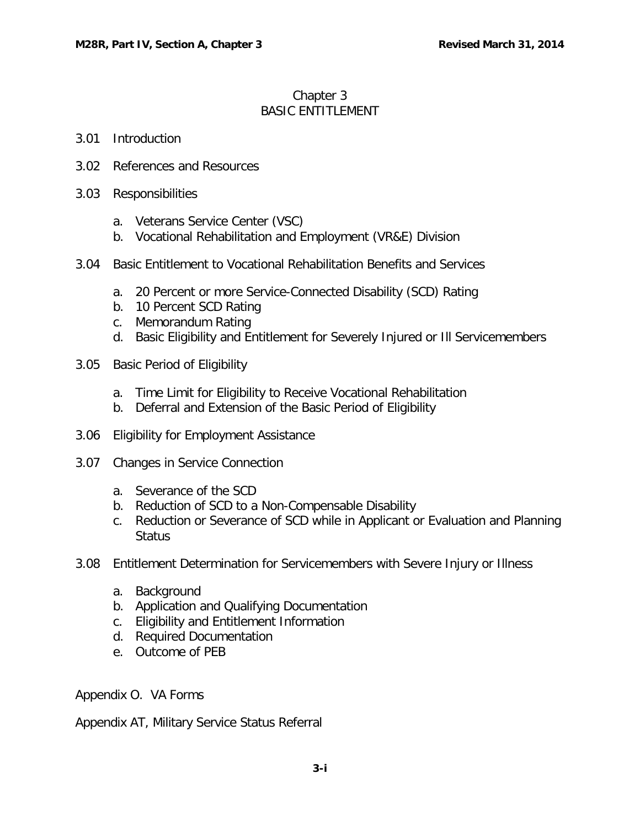# Chapter 3 BASIC ENTITLEMENT

### 3.01 [Introduction](#page-1-0)

- 3.02 [References and Resources](#page-1-1)
- 3.03 [Responsibilities](#page-1-2)
	- a. [Veterans Service Center \(VSC\)](#page-1-3)
	- b. [Vocational Rehabilitation and Employment \(VR&E\) Division](#page-1-4)
- 3.04 [Basic Entitlement to Vocational Rehabilitation Benefits and Services](#page-2-0)
	- a. [20 Percent or more Service-Connected Disability \(SCD\) Rating](#page-2-1)
	- b. [10 Percent SCD Rating](#page-2-2)
	- c. [Memorandum Rating](#page-2-3)
	- d. [Basic Eligibility and Entitlement for Severely Injured or Ill Servicemembers](#page-3-0)
- 3.05 [Basic Period of Eligibility](#page-3-1)
	- a. [Time Limit for Eligibility to Receive Vocational Rehabilitation](#page-3-2)
	- b. [Deferral and Extension of the Basic Period of Eligibility](#page-3-3)
- 3.06 [Eligibility for Employment Assistance](#page-6-0)
- 3.07 [Changes in Service Connection](#page-6-1)
	- a. [Severance of the SCD](#page-6-2)
	- b. [Reduction of SCD to a Non-Compensable Disability](#page-6-3)
	- c. [Reduction or Severance of SCD while in Applicant or Evaluation and Planning](#page-6-4)  **[Status](#page-6-4)**
- 3.08 [Entitlement Determination for Servicemembers with Severe Injury or Illness](#page-7-0)
	- a. [Background](#page-7-1)
	- b. [Application and Qualifying Documentation](#page-7-2)
	- c. [Eligibility and Entitlement Information](#page-8-0)
	- d. [Required Documentation](#page-8-1)
	- e. [Outcome of PEB](#page-9-0)

Appendix O. VA Forms

Appendix AT, Military Service Status Referral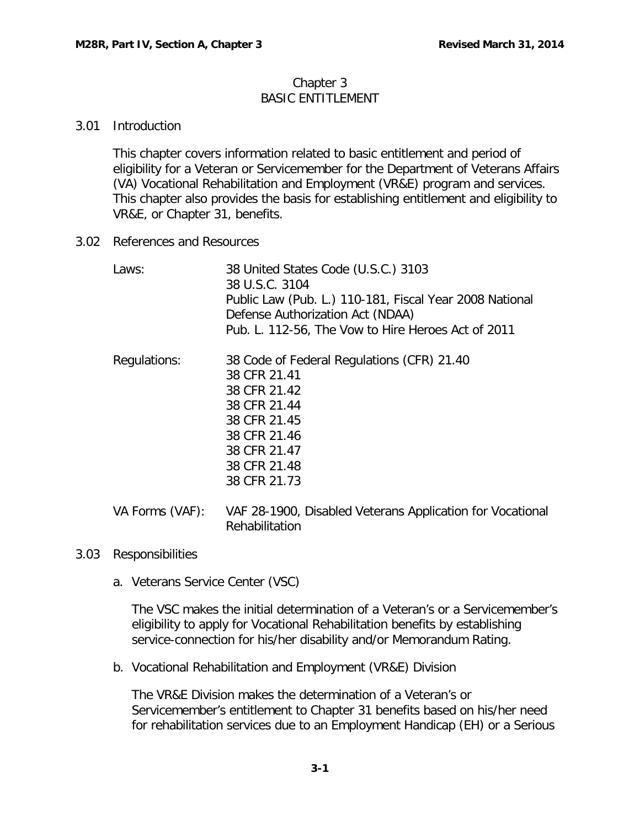#### Chapter 3 BASIC ENTITLEMENT

## <span id="page-1-0"></span>3.01 Introduction

This chapter covers information related to basic entitlement and period of eligibility for a Veteran or Servicemember for the Department of Veterans Affairs (VA) Vocational Rehabilitation and Employment (VR&E) program and services. This chapter also provides the basis for establishing entitlement and eligibility to VR&E, or Chapter 31, benefits.

<span id="page-1-1"></span>3.02 References and Resources

| Laws:           | 38 United States Code (U.S.C.) 3103<br>38 U.S.C. 3104<br>Public Law (Pub. L.) 110-181, Fiscal Year 2008 National<br>Defense Authorization Act (NDAA)<br>Pub. L. 112-56, The Vow to Hire Heroes Act of 2011 |
|-----------------|------------------------------------------------------------------------------------------------------------------------------------------------------------------------------------------------------------|
| Regulations:    | 38 Code of Federal Regulations (CFR) 21.40<br>38 CFR 21.41<br>38 CFR 21.42<br>38 CFR 21.44<br>38 CFR 21.45<br>38 CFR 21.46<br>38 CFR 21.47<br>38 CFR 21.48<br>38 CFR 21.73                                 |
| VA Forms (VAF): | VAF 28-1900, Disabled Veterans Application for Vocational                                                                                                                                                  |

- <span id="page-1-3"></span><span id="page-1-2"></span>3.03 Responsibilities
	- a. Veterans Service Center (VSC)

The VSC makes the initial determination of a Veteran's or a Servicemember's eligibility to apply for Vocational Rehabilitation benefits by establishing service-connection for his/her disability and/or Memorandum Rating.

<span id="page-1-4"></span>b. Vocational Rehabilitation and Employment (VR&E) Division

Rehabilitation

The VR&E Division makes the determination of a Veteran's or Servicemember's entitlement to Chapter 31 benefits based on his/her need for rehabilitation services due to an Employment Handicap (EH) or a Serious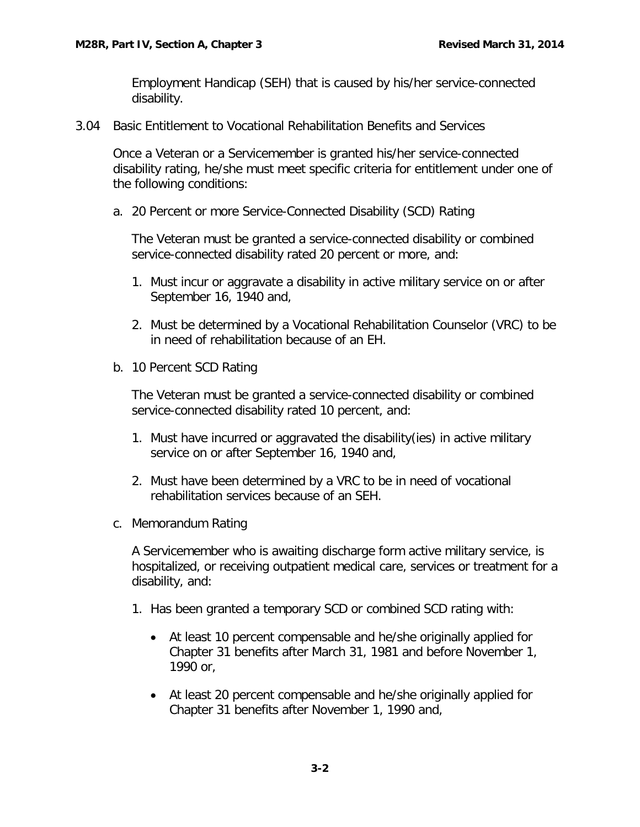Employment Handicap (SEH) that is caused by his/her service-connected disability.

<span id="page-2-0"></span>3.04 Basic Entitlement to Vocational Rehabilitation Benefits and Services

Once a Veteran or a Servicemember is granted his/her service-connected disability rating, he/she must meet specific criteria for entitlement under one of the following conditions:

<span id="page-2-1"></span>a. 20 Percent or more Service-Connected Disability (SCD) Rating

The Veteran must be granted a service-connected disability or combined service-connected disability rated 20 percent or more, and:

- 1. Must incur or aggravate a disability in active military service on or after September 16, 1940 and,
- 2. Must be determined by a Vocational Rehabilitation Counselor (VRC) to be in need of rehabilitation because of an EH.
- <span id="page-2-2"></span>b. 10 Percent SCD Rating

The Veteran must be granted a service-connected disability or combined service-connected disability rated 10 percent, and:

- 1. Must have incurred or aggravated the disability(ies) in active military service on or after September 16, 1940 and,
- 2. Must have been determined by a VRC to be in need of vocational rehabilitation services because of an SEH.
- <span id="page-2-3"></span>c. Memorandum Rating

A Servicemember who is awaiting discharge form active military service, is hospitalized, or receiving outpatient medical care, services or treatment for a disability, and:

- 1. Has been granted a temporary SCD or combined SCD rating with:
	- At least 10 percent compensable and he/she originally applied for Chapter 31 benefits after March 31, 1981 and before November 1, 1990 or,
	- At least 20 percent compensable and he/she originally applied for Chapter 31 benefits after November 1, 1990 and,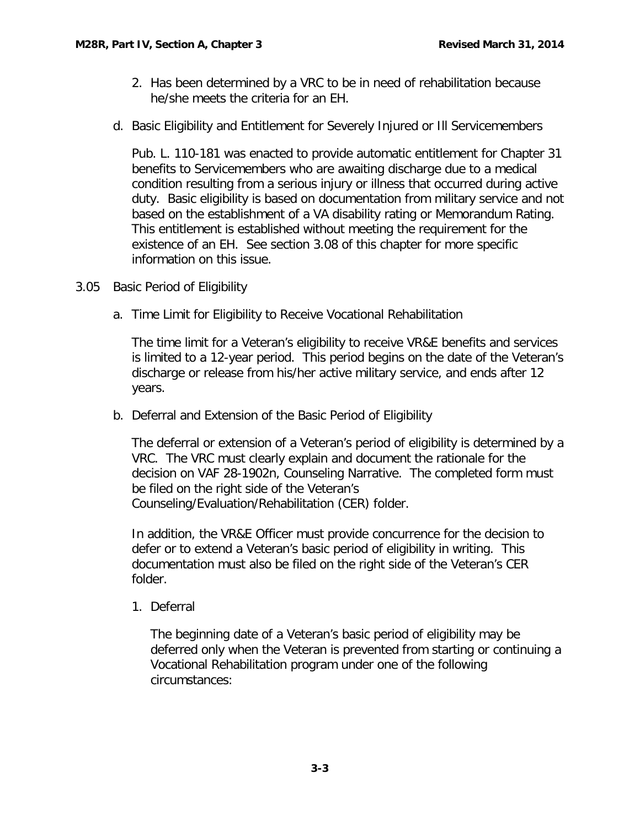- 2. Has been determined by a VRC to be in need of rehabilitation because he/she meets the criteria for an EH.
- <span id="page-3-0"></span>d. Basic Eligibility and Entitlement for Severely Injured or Ill Servicemembers

Pub. L. 110-181 was enacted to provide automatic entitlement for Chapter 31 benefits to Servicemembers who are awaiting discharge due to a medical condition resulting from a serious injury or illness that occurred during active duty. Basic eligibility is based on documentation from military service and not based on the establishment of a VA disability rating or Memorandum Rating. This entitlement is established without meeting the requirement for the existence of an EH. See section 3.08 of this chapter for more specific information on this issue.

- <span id="page-3-2"></span><span id="page-3-1"></span>3.05 Basic Period of Eligibility
	- a. Time Limit for Eligibility to Receive Vocational Rehabilitation

The time limit for a Veteran's eligibility to receive VR&E benefits and services is limited to a 12-year period. This period begins on the date of the Veteran's discharge or release from his/her active military service, and ends after 12 years.

<span id="page-3-3"></span>b. Deferral and Extension of the Basic Period of Eligibility

The deferral or extension of a Veteran's period of eligibility is determined by a VRC. The VRC must clearly explain and document the rationale for the decision on VAF 28-1902n, Counseling Narrative. The completed form must be filed on the right side of the Veteran's Counseling/Evaluation/Rehabilitation (CER) folder.

In addition, the VR&E Officer must provide concurrence for the decision to defer or to extend a Veteran's basic period of eligibility in writing. This documentation must also be filed on the right side of the Veteran's CER folder.

1. Deferral

The beginning date of a Veteran's basic period of eligibility may be deferred only when the Veteran is prevented from starting or continuing a Vocational Rehabilitation program under one of the following circumstances: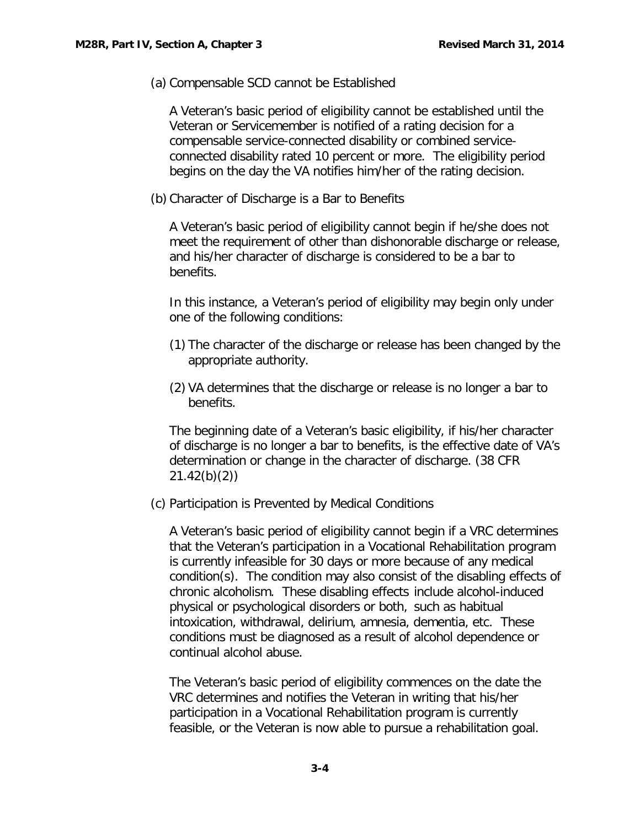(a) Compensable SCD cannot be Established

A Veteran's basic period of eligibility cannot be established until the Veteran or Servicemember is notified of a rating decision for a compensable service-connected disability or combined serviceconnected disability rated 10 percent or more. The eligibility period begins on the day the VA notifies him/her of the rating decision.

(b) Character of Discharge is a Bar to Benefits

A Veteran's basic period of eligibility cannot begin if he/she does not meet the requirement of other than dishonorable discharge or release, and his/her character of discharge is considered to be a bar to benefits.

In this instance, a Veteran's period of eligibility may begin only under one of the following conditions:

- (1) The character of the discharge or release has been changed by the appropriate authority.
- (2) VA determines that the discharge or release is no longer a bar to benefits.

The beginning date of a Veteran's basic eligibility, if his/her character of discharge is no longer a bar to benefits, is the effective date of VA's determination or change in the character of discharge. (38 CFR 21.42(b)(2))

(c) Participation is Prevented by Medical Conditions

A Veteran's basic period of eligibility cannot begin if a VRC determines that the Veteran's participation in a Vocational Rehabilitation program is currently infeasible for 30 days or more because of any medical condition(s). The condition may also consist of the disabling effects of chronic alcoholism. These disabling effects include alcohol-induced physical or psychological disorders or both, such as habitual intoxication, withdrawal, delirium, amnesia, dementia, etc. These conditions must be diagnosed as a result of alcohol dependence or continual alcohol abuse.

The Veteran's basic period of eligibility commences on the date the VRC determines and notifies the Veteran in writing that his/her participation in a Vocational Rehabilitation program is currently feasible, or the Veteran is now able to pursue a rehabilitation goal.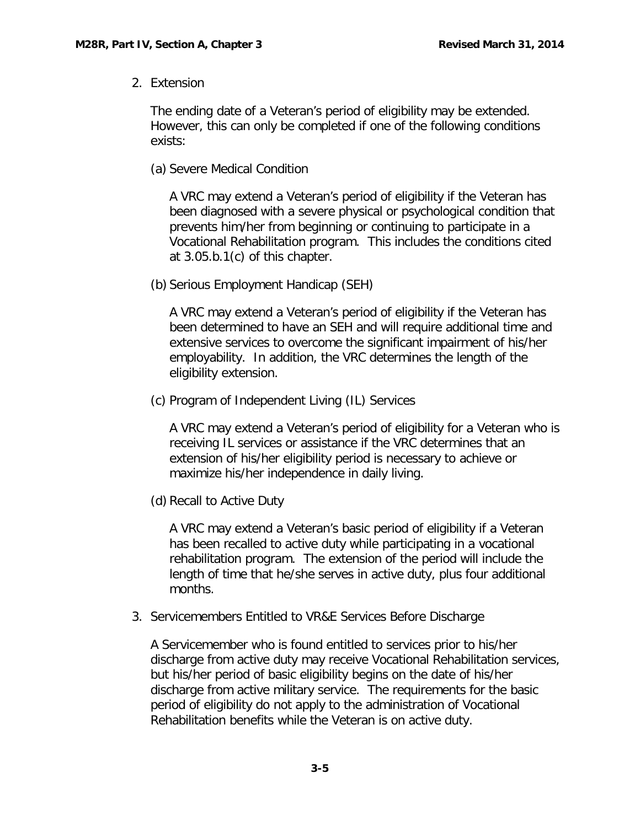2. Extension

The ending date of a Veteran's period of eligibility may be extended. However, this can only be completed if one of the following conditions exists:

(a) Severe Medical Condition

A VRC may extend a Veteran's period of eligibility if the Veteran has been diagnosed with a severe physical or psychological condition that prevents him/her from beginning or continuing to participate in a Vocational Rehabilitation program. This includes the conditions cited at 3.05.b.1(c) of this chapter.

(b) Serious Employment Handicap (SEH)

A VRC may extend a Veteran's period of eligibility if the Veteran has been determined to have an SEH and will require additional time and extensive services to overcome the significant impairment of his/her employability. In addition, the VRC determines the length of the eligibility extension.

(c) Program of Independent Living (IL) Services

A VRC may extend a Veteran's period of eligibility for a Veteran who is receiving IL services or assistance if the VRC determines that an extension of his/her eligibility period is necessary to achieve or maximize his/her independence in daily living.

(d) Recall to Active Duty

A VRC may extend a Veteran's basic period of eligibility if a Veteran has been recalled to active duty while participating in a vocational rehabilitation program. The extension of the period will include the length of time that he/she serves in active duty, plus four additional months.

3. Servicemembers Entitled to VR&E Services Before Discharge

A Servicemember who is found entitled to services prior to his/her discharge from active duty may receive Vocational Rehabilitation services, but his/her period of basic eligibility begins on the date of his/her discharge from active military service. The requirements for the basic period of eligibility do not apply to the administration of Vocational Rehabilitation benefits while the Veteran is on active duty.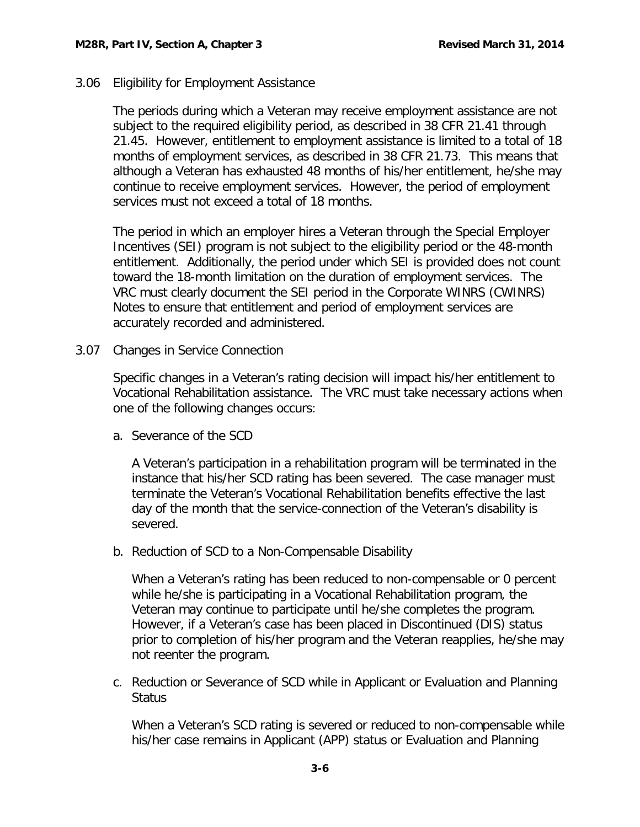#### <span id="page-6-0"></span>3.06 Eligibility for Employment Assistance

The periods during which a Veteran may receive employment assistance are not subject to the required eligibility period, as described in 38 CFR 21.41 through 21.45. However, entitlement to employment assistance is limited to a total of 18 months of employment services, as described in 38 CFR 21.73. This means that although a Veteran has exhausted 48 months of his/her entitlement, he/she may continue to receive employment services. However, the period of employment services must not exceed a total of 18 months.

The period in which an employer hires a Veteran through the Special Employer Incentives (SEI) program is not subject to the eligibility period or the 48-month entitlement. Additionally, the period under which SEI is provided does not count toward the 18-month limitation on the duration of employment services. The VRC must clearly document the SEI period in the Corporate WINRS (CWINRS) Notes to ensure that entitlement and period of employment services are accurately recorded and administered.

<span id="page-6-1"></span>3.07 Changes in Service Connection

Specific changes in a Veteran's rating decision will impact his/her entitlement to Vocational Rehabilitation assistance. The VRC must take necessary actions when one of the following changes occurs:

<span id="page-6-2"></span>a. Severance of the SCD

A Veteran's participation in a rehabilitation program will be terminated in the instance that his/her SCD rating has been severed. The case manager must terminate the Veteran's Vocational Rehabilitation benefits effective the last day of the month that the service-connection of the Veteran's disability is severed.

<span id="page-6-3"></span>b. Reduction of SCD to a Non-Compensable Disability

When a Veteran's rating has been reduced to non-compensable or 0 percent while he/she is participating in a Vocational Rehabilitation program, the Veteran may continue to participate until he/she completes the program. However, if a Veteran's case has been placed in Discontinued (DIS) status prior to completion of his/her program and the Veteran reapplies, he/she may not reenter the program.

<span id="page-6-4"></span>c. Reduction or Severance of SCD while in Applicant or Evaluation and Planning **Status** 

When a Veteran's SCD rating is severed or reduced to non-compensable while his/her case remains in Applicant (APP) status or Evaluation and Planning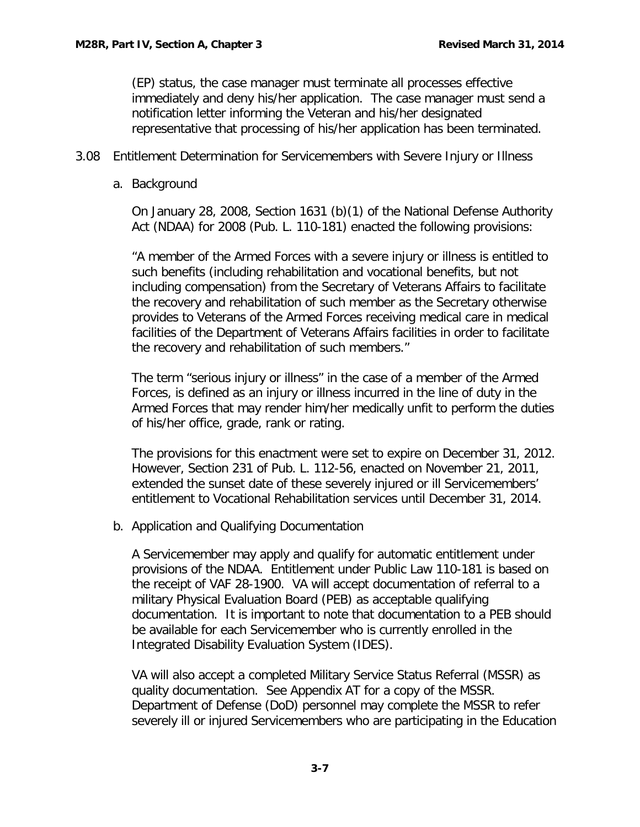(EP) status, the case manager must terminate all processes effective immediately and deny his/her application. The case manager must send a notification letter informing the Veteran and his/her designated representative that processing of his/her application has been terminated.

- <span id="page-7-1"></span><span id="page-7-0"></span>3.08 Entitlement Determination for Servicemembers with Severe Injury or Illness
	- a. Background

On January 28, 2008, Section 1631 (b)(1) of the National Defense Authority Act (NDAA) for 2008 (Pub. L. 110-181) enacted the following provisions:

"A member of the Armed Forces with a severe injury or illness is entitled to such benefits (including rehabilitation and vocational benefits, but not including compensation) from the Secretary of Veterans Affairs to facilitate the recovery and rehabilitation of such member as the Secretary otherwise provides to Veterans of the Armed Forces receiving medical care in medical facilities of the Department of Veterans Affairs facilities in order to facilitate the recovery and rehabilitation of such members."

The term "serious injury or illness" in the case of a member of the Armed Forces, is defined as an injury or illness incurred in the line of duty in the Armed Forces that may render him/her medically unfit to perform the duties of his/her office, grade, rank or rating.

The provisions for this enactment were set to expire on December 31, 2012. However, Section 231 of Pub. L. 112-56, enacted on November 21, 2011, extended the sunset date of these severely injured or ill Servicemembers' entitlement to Vocational Rehabilitation services until December 31, 2014.

<span id="page-7-2"></span>b. Application and Qualifying Documentation

A Servicemember may apply and qualify for automatic entitlement under provisions of the NDAA. Entitlement under Public Law 110-181 is based on the receipt of VAF 28-1900. VA will accept documentation of referral to a military Physical Evaluation Board (PEB) as acceptable qualifying documentation. It is important to note that documentation to a PEB should be available for each Servicemember who is currently enrolled in the Integrated Disability Evaluation System (IDES).

VA will also accept a completed Military Service Status Referral (MSSR) as quality documentation. See Appendix AT for a copy of the MSSR. Department of Defense (DoD) personnel may complete the MSSR to refer severely ill or injured Servicemembers who are participating in the Education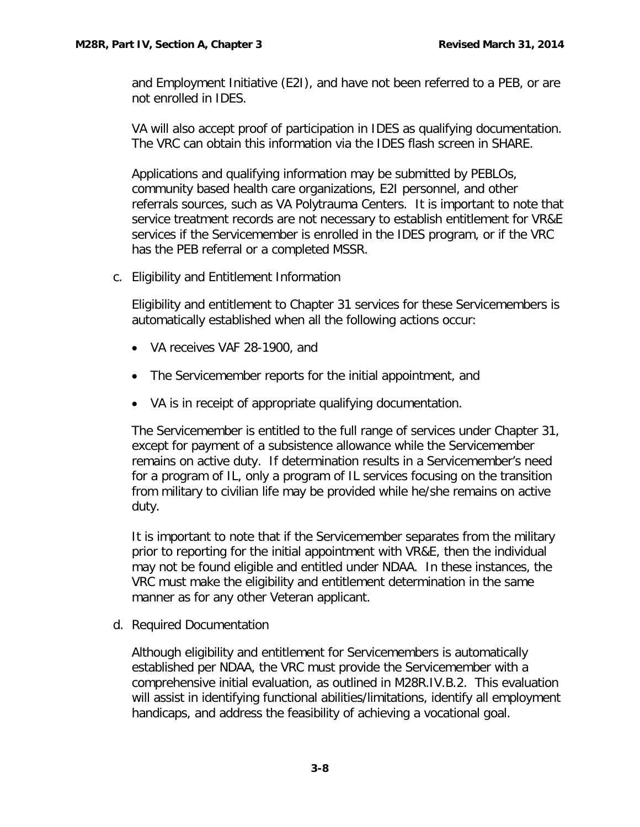and Employment Initiative (E2I), and have not been referred to a PEB, or are not enrolled in IDES.

VA will also accept proof of participation in IDES as qualifying documentation. The VRC can obtain this information via the IDES flash screen in SHARE.

Applications and qualifying information may be submitted by PEBLOs, community based health care organizations, E2I personnel, and other referrals sources, such as VA Polytrauma Centers. It is important to note that service treatment records are not necessary to establish entitlement for VR&E services if the Servicemember is enrolled in the IDES program, or if the VRC has the PEB referral or a completed MSSR.

<span id="page-8-0"></span>c. Eligibility and Entitlement Information

Eligibility and entitlement to Chapter 31 services for these Servicemembers is automatically established when all the following actions occur:

- VA receives VAF 28-1900, and
- The Servicemember reports for the initial appointment, and
- VA is in receipt of appropriate qualifying documentation.

The Servicemember is entitled to the full range of services under Chapter 31, except for payment of a subsistence allowance while the Servicemember remains on active duty. If determination results in a Servicemember's need for a program of IL, only a program of IL services focusing on the transition from military to civilian life may be provided while he/she remains on active duty.

It is important to note that if the Servicemember separates from the military prior to reporting for the initial appointment with VR&E, then the individual may not be found eligible and entitled under NDAA. In these instances, the VRC must make the eligibility and entitlement determination in the same manner as for any other Veteran applicant.

<span id="page-8-1"></span>d. Required Documentation

Although eligibility and entitlement for Servicemembers is automatically established per NDAA, the VRC must provide the Servicemember with a comprehensive initial evaluation, as outlined in M28R.IV.B.2. This evaluation will assist in identifying functional abilities/limitations, identify all employment handicaps, and address the feasibility of achieving a vocational goal.